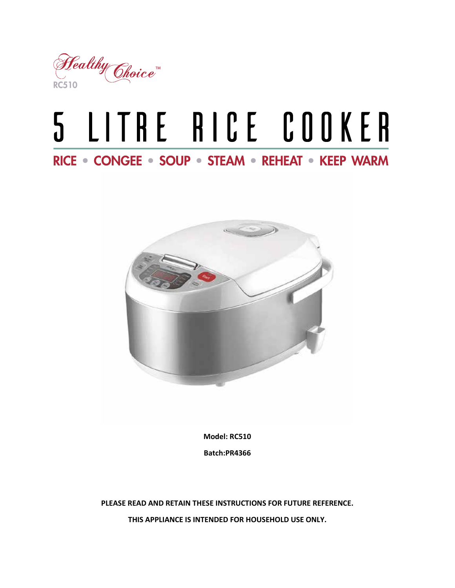

# 5 LITRE RICE COOKER

RICE • CONGEE • SOUP • STEAM • REHEAT • KEEP WARM



**Model: RC510 Batch:PR4366**

**PLEASE READ AND RETAIN THESE INSTRUCTIONS FOR FUTURE REFERENCE.**

**THIS APPLIANCE IS INTENDED FOR HOUSEHOLD USE ONLY.**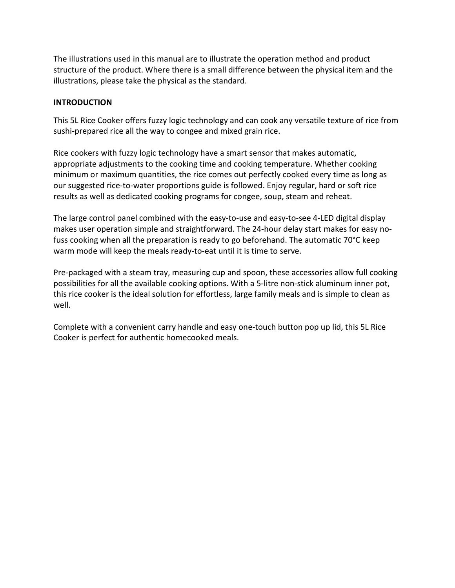The illustrations used in this manual are to illustrate the operation method and product structure of the product. Where there is a small difference between the physical item and the illustrations, please take the physical as the standard.

# **INTRODUCTION**

This 5L Rice Cooker offers fuzzy logic technology and can cook any versatile texture of rice from sushi-prepared rice all the way to congee and mixed grain rice.

Rice cookers with fuzzy logic technology have a smart sensor that makes automatic, appropriate adjustments to the cooking time and cooking temperature. Whether cooking minimum or maximum quantities, the rice comes out perfectly cooked every time as long as our suggested rice-to-water proportions guide is followed. Enjoy regular, hard or soft rice results as well as dedicated cooking programs for congee, soup, steam and reheat.

The large control panel combined with the easy-to-use and easy-to-see 4-LED digital display makes user operation simple and straightforward. The 24-hour delay start makes for easy nofuss cooking when all the preparation is ready to go beforehand. The automatic 70°C keep warm mode will keep the meals ready-to-eat until it is time to serve.

Pre-packaged with a steam tray, measuring cup and spoon, these accessories allow full cooking possibilities for all the available cooking options. With a 5-litre non-stick aluminum inner pot, this rice cooker is the ideal solution for effortless, large family meals and is simple to clean as well.

Complete with a convenient carry handle and easy one-touch button pop up lid, this 5L Rice Cooker is perfect for authentic homecooked meals.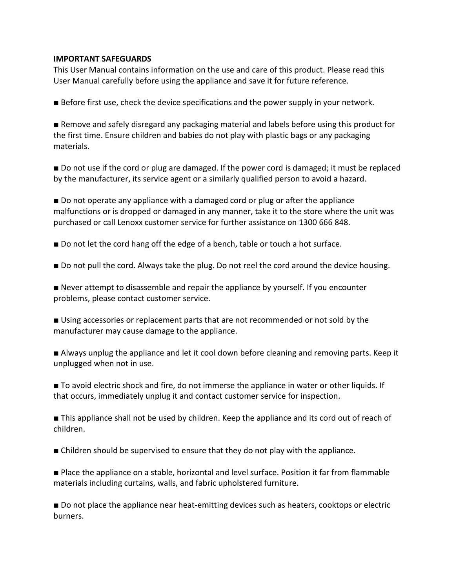#### **IMPORTANT SAFEGUARDS**

This User Manual contains information on the use and care of this product. Please read this User Manual carefully before using the appliance and save it for future reference.

**Before first use, check the device specifications and the power supply in your network.** 

**Example and safely disregard any packaging material and labels before using this product for** the first time. Ensure children and babies do not play with plastic bags or any packaging materials.

■ Do not use if the cord or plug are damaged. If the power cord is damaged; it must be replaced by the manufacturer, its service agent or a similarly qualified person to avoid a hazard.

Do not operate any appliance with a damaged cord or plug or after the appliance malfunctions or is dropped or damaged in any manner, take it to the store where the unit was purchased or call Lenoxx customer service for further assistance on 1300 666 848.

■ Do not let the cord hang off the edge of a bench, table or touch a hot surface.

Do not pull the cord. Always take the plug. Do not reel the cord around the device housing.

 $\blacksquare$  Never attempt to disassemble and repair the appliance by yourself. If you encounter problems, please contact customer service.

■ Using accessories or replacement parts that are not recommended or not sold by the manufacturer may cause damage to the appliance.

**Example 20** Always unplug the appliance and let it cool down before cleaning and removing parts. Keep it unplugged when not in use.

 $\blacksquare$  To avoid electric shock and fire, do not immerse the appliance in water or other liquids. If that occurs, immediately unplug it and contact customer service for inspection.

**This appliance shall not be used by children. Keep the appliance and its cord out of reach of** children.

**E** Children should be supervised to ensure that they do not play with the appliance.

■ Place the appliance on a stable, horizontal and level surface. Position it far from flammable materials including curtains, walls, and fabric upholstered furniture.

■ Do not place the appliance near heat-emitting devices such as heaters, cooktops or electric burners.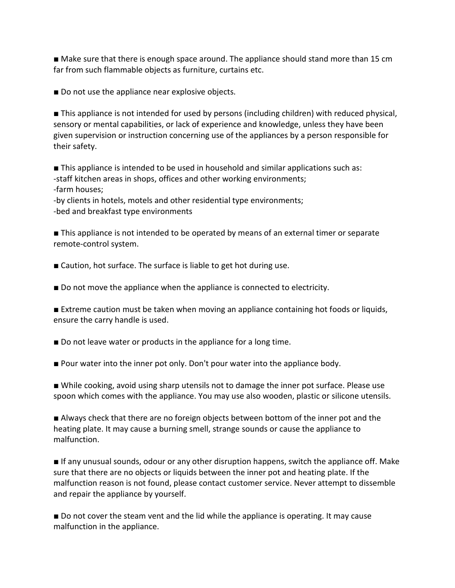• Make sure that there is enough space around. The appliance should stand more than 15 cm far from such flammable objects as furniture, curtains etc.

 $\blacksquare$  Do not use the appliance near explosive objects.

**This appliance is not intended for used by persons (including children) with reduced physical,** sensory or mental capabilities, or lack of experience and knowledge, unless they have been given supervision or instruction concerning use of the appliances by a person responsible for their safety.

**This appliance is intended to be used in household and similar applications such as:** -staff kitchen areas in shops, offices and other working environments; -farm houses;

-by clients in hotels, motels and other residential type environments; -bed and breakfast type environments

**This appliance is not intended to be operated by means of an external timer or separate** remote-control system.

 $\blacksquare$  Caution, hot surface. The surface is liable to get hot during use.

■ Do not move the appliance when the appliance is connected to electricity.

**Extreme caution must be taken when moving an appliance containing hot foods or liquids,** ensure the carry handle is used.

 $\blacksquare$  Do not leave water or products in the appliance for a long time.

**Pour water into the inner pot only. Don't pour water into the appliance body.** 

■ While cooking, avoid using sharp utensils not to damage the inner pot surface. Please use spoon which comes with the appliance. You may use also wooden, plastic or silicone utensils.

**Always check that there are no foreign objects between bottom of the inner pot and the** heating plate. It may cause a burning smell, strange sounds or cause the appliance to malfunction.

**If any unusual sounds, odour or any other disruption happens, switch the appliance off. Make** sure that there are no objects or liquids between the inner pot and heating plate. If the malfunction reason is not found, please contact customer service. Never attempt to dissemble and repair the appliance by yourself.

■ Do not cover the steam vent and the lid while the appliance is operating. It may cause malfunction in the appliance.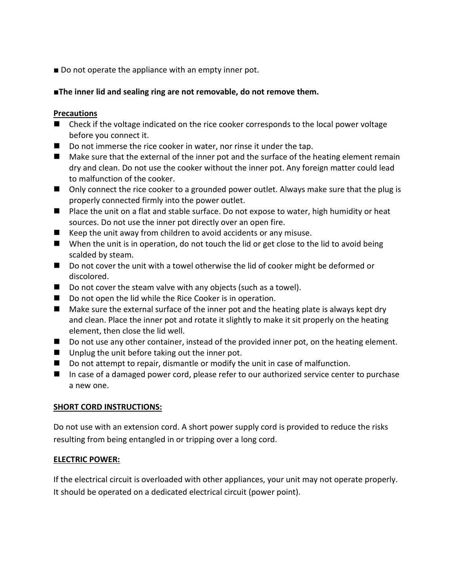$\blacksquare$  Do not operate the appliance with an empty inner pot.

# **The inner lid and sealing ring are not removable, do not remove them.**

### **Precautions**

- Check if the voltage indicated on the rice cooker corresponds to the local power voltage before you connect it.
- Do not immerse the rice cooker in water, nor rinse it under the tap.
- Make sure that the external of the inner pot and the surface of the heating element remain dry and clean. Do not use the cooker without the inner pot. Any foreign matter could lead to malfunction of the cooker.
- Only connect the rice cooker to a grounded power outlet. Always make sure that the plug is properly connected firmly into the power outlet.
- Place the unit on a flat and stable surface. Do not expose to water, high humidity or heat sources. Do not use the inner pot directly over an open fire.
- $\blacksquare$  Keep the unit away from children to avoid accidents or any misuse.
- When the unit is in operation, do not touch the lid or get close to the lid to avoid being scalded by steam.
- Do not cover the unit with a towel otherwise the lid of cooker might be deformed or discolored.
- $\Box$  Do not cover the steam valve with any objects (such as a towel).
- Do not open the lid while the Rice Cooker is in operation.
- Make sure the external surface of the inner pot and the heating plate is always kept dry and clean. Place the inner pot and rotate it slightly to make it sit properly on the heating element, then close the lid well.
- Do not use any other container, instead of the provided inner pot, on the heating element.
- Unplug the unit before taking out the inner pot.
- Do not attempt to repair, dismantle or modify the unit in case of malfunction.
- In case of a damaged power cord, please refer to our authorized service center to purchase a new one.

# **SHORT CORD INSTRUCTIONS:**

Do not use with an extension cord. A short power supply cord is provided to reduce the risks resulting from being entangled in or tripping over a long cord.

# **ELECTRIC POWER:**

If the electrical circuit is overloaded with other appliances, your unit may not operate properly. It should be operated on a dedicated electrical circuit (power point).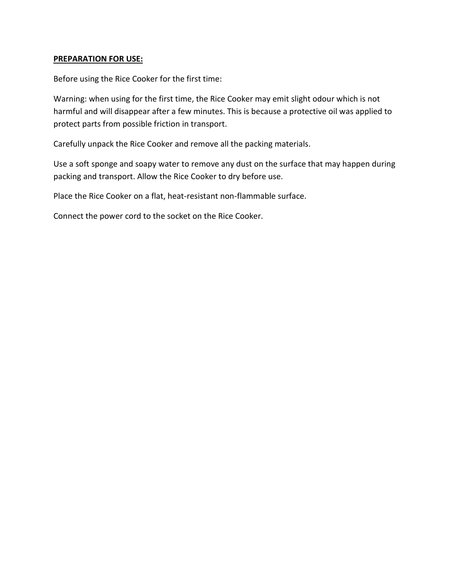#### **PREPARATION FOR USE:**

Before using the Rice Cooker for the first time:

Warning: when using for the first time, the Rice Cooker may emit slight odour which is not harmful and will disappear after a few minutes. This is because a protective oil was applied to protect parts from possible friction in transport.

Carefully unpack the Rice Cooker and remove all the packing materials.

Use a soft sponge and soapy water to remove any dust on the surface that may happen during packing and transport. Allow the Rice Cooker to dry before use.

Place the Rice Cooker on a flat, heat-resistant non-flammable surface.

Connect the power cord to the socket on the Rice Cooker.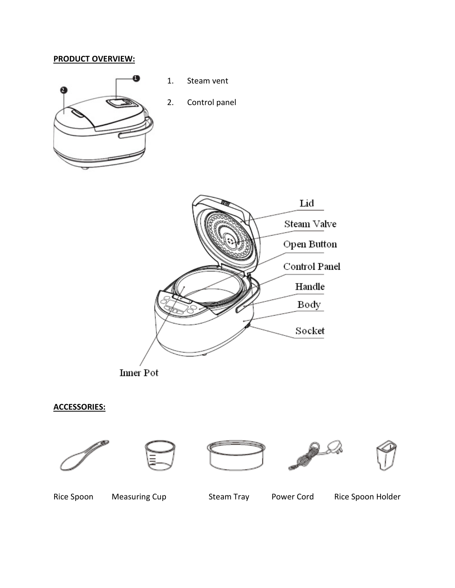# **PRODUCT OVERVIEW:**



- 1. Steam vent
- 2. Control panel





# **ACCESSORIES:**











Rice Spoon Measuring Cup Steam Tray Power Cord Rice Spoon Holder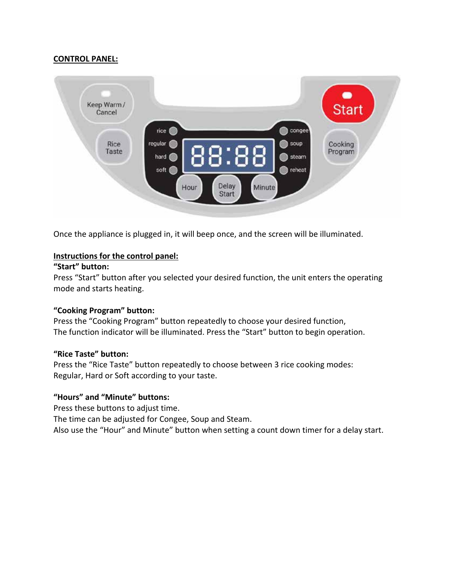### **CONTROL PANEL:**



Once the appliance is plugged in, it will beep once, and the screen will be illuminated.

### **Instructions for the control panel:**

# **"Start" button:**

Press "Start" button after you selected your desired function, the unit enters the operating mode and starts heating.

### **"Cooking Program" button:**

Press the "Cooking Program" button repeatedly to choose your desired function, The function indicator will be illuminated. Press the "Start" button to begin operation.

### **"Rice Taste" button:**

Press the "Rice Taste" button repeatedly to choose between 3 rice cooking modes: Regular, Hard or Soft according to your taste.

# **"Hours" and "Minute" buttons:**

Press these buttons to adjust time.

The time can be adjusted for Congee, Soup and Steam.

Also use the "Hour" and Minute" button when setting a count down timer for a delay start.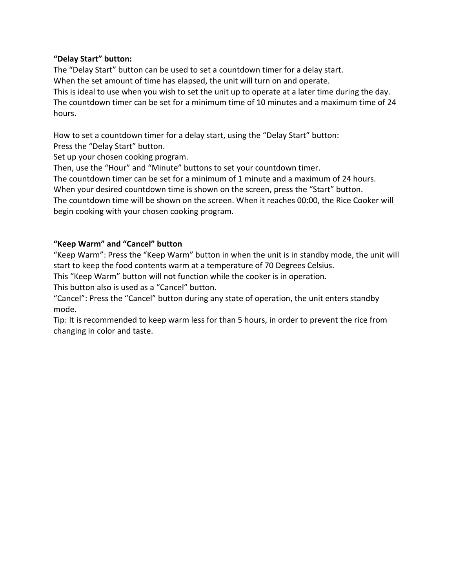# **"Delay Start" button:**

The "Delay Start" button can be used to set a countdown timer for a delay start. When the set amount of time has elapsed, the unit will turn on and operate. This is ideal to use when you wish to set the unit up to operate at a later time during the day. The countdown timer can be set for a minimum time of 10 minutes and a maximum time of 24 hours.

How to set a countdown timer for a delay start, using the "Delay Start" button: Press the "Delay Start" button.

Set up your chosen cooking program.

Then, use the "Hour" and "Minute" buttons to set your countdown timer.

The countdown timer can be set for a minimum of 1 minute and a maximum of 24 hours.

When your desired countdown time is shown on the screen, press the "Start" button.

The countdown time will be shown on the screen. When it reaches 00:00, the Rice Cooker will begin cooking with your chosen cooking program.

# **"Keep Warm" and "Cancel" button**

"Keep Warm": Press the "Keep Warm" button in when the unit is in standby mode, the unit will start to keep the food contents warm at a temperature of 70 Degrees Celsius.

This "Keep Warm" button will not function while the cooker is in operation.

This button also is used as a "Cancel" button.

"Cancel": Press the "Cancel" button during any state of operation, the unit enters standby mode.

Tip: It is recommended to keep warm less for than 5 hours, in order to prevent the rice from changing in color and taste.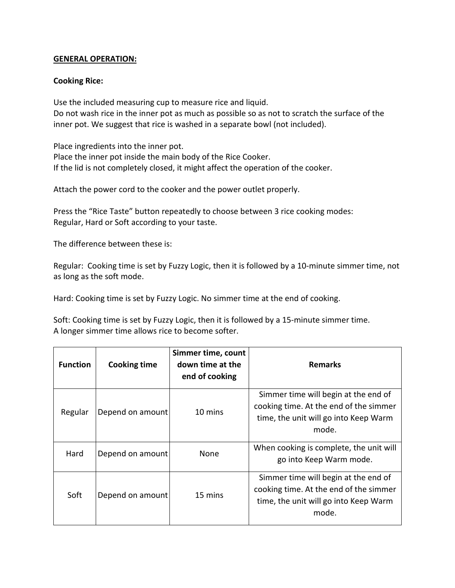#### **GENERAL OPERATION:**

#### **Cooking Rice:**

Use the included measuring cup to measure rice and liquid. Do not wash rice in the inner pot as much as possible so as not to scratch the surface of the inner pot. We suggest that rice is washed in a separate bowl (not included).

Place ingredients into the inner pot. Place the inner pot inside the main body of the Rice Cooker. If the lid is not completely closed, it might affect the operation of the cooker.

Attach the power cord to the cooker and the power outlet properly.

Press the "Rice Taste" button repeatedly to choose between 3 rice cooking modes: Regular, Hard or Soft according to your taste.

The difference between these is:

Regular: Cooking time is set by Fuzzy Logic, then it is followed by a 10-minute simmer time, not as long as the soft mode.

Hard: Cooking time is set by Fuzzy Logic. No simmer time at the end of cooking.

Soft: Cooking time is set by Fuzzy Logic, then it is followed by a 15-minute simmer time. A longer simmer time allows rice to become softer.

| <b>Function</b> | <b>Cooking time</b> | Simmer time, count<br>down time at the<br>end of cooking | <b>Remarks</b>                                                                                                                   |
|-----------------|---------------------|----------------------------------------------------------|----------------------------------------------------------------------------------------------------------------------------------|
| Regular         | Depend on amount    | 10 mins                                                  | Simmer time will begin at the end of<br>cooking time. At the end of the simmer<br>time, the unit will go into Keep Warm<br>mode. |
| Hard            | Depend on amount    | None                                                     | When cooking is complete, the unit will<br>go into Keep Warm mode.                                                               |
| Soft            | Depend on amount    | 15 mins                                                  | Simmer time will begin at the end of<br>cooking time. At the end of the simmer<br>time, the unit will go into Keep Warm<br>mode. |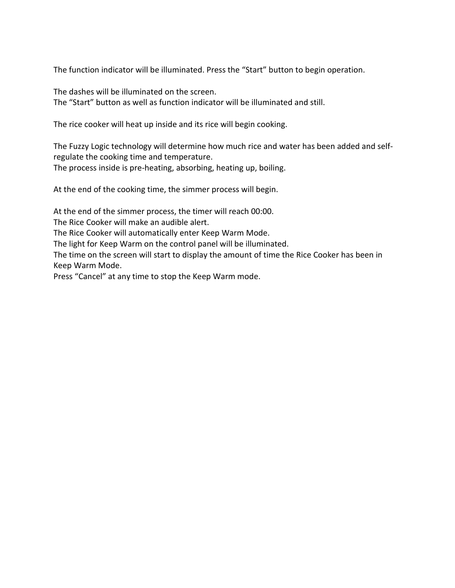The function indicator will be illuminated. Press the "Start" button to begin operation.

The dashes will be illuminated on the screen. The "Start" button as well as function indicator will be illuminated and still.

The rice cooker will heat up inside and its rice will begin cooking.

The Fuzzy Logic technology will determine how much rice and water has been added and selfregulate the cooking time and temperature. The process inside is pre-heating, absorbing, heating up, boiling.

At the end of the cooking time, the simmer process will begin.

At the end of the simmer process, the timer will reach 00:00.

The Rice Cooker will make an audible alert.

The Rice Cooker will automatically enter Keep Warm Mode.

The light for Keep Warm on the control panel will be illuminated.

The time on the screen will start to display the amount of time the Rice Cooker has been in Keep Warm Mode.

Press "Cancel" at any time to stop the Keep Warm mode.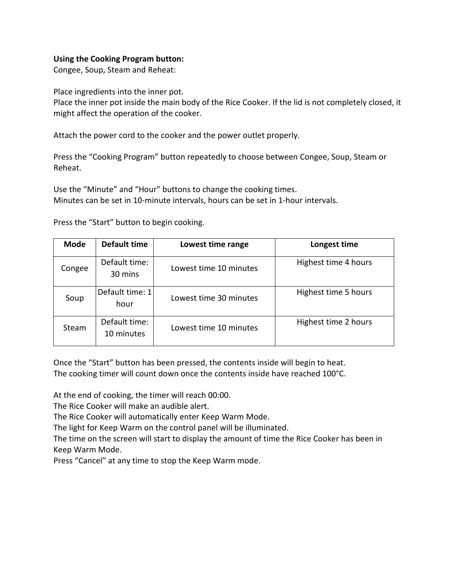#### **Using the Cooking Program button:**

Congee, Soup, Steam and Reheat:

Place ingredients into the inner pot.

Place the inner pot inside the main body of the Rice Cooker. If the lid is not completely closed, it might affect the operation of the cooker.

Attach the power cord to the cooker and the power outlet properly.

Press the "Cooking Program" button repeatedly to choose between Congee, Soup, Steam or Reheat.

Use the "Minute" and "Hour" buttons to change the cooking times. Minutes can be set in 10-minute intervals, hours can be set in 1-hour intervals.

| <b>Mode</b>  | <b>Default time</b>         | Lowest time range      | Longest time         |  |  |
|--------------|-----------------------------|------------------------|----------------------|--|--|
| Congee       | Default time:<br>30 mins    | Lowest time 10 minutes | Highest time 4 hours |  |  |
| Soup         | Default time: 1<br>hour     | Lowest time 30 minutes | Highest time 5 hours |  |  |
| <b>Steam</b> | Default time:<br>10 minutes | Lowest time 10 minutes | Highest time 2 hours |  |  |

Press the "Start" button to begin cooking.

Once the "Start" button has been pressed, the contents inside will begin to heat. The cooking timer will count down once the contents inside have reached 100°C.

At the end of cooking, the timer will reach 00:00.

The Rice Cooker will make an audible alert.

The Rice Cooker will automatically enter Keep Warm Mode.

The light for Keep Warm on the control panel will be illuminated.

The time on the screen will start to display the amount of time the Rice Cooker has been in Keep Warm Mode.

Press "Cancel" at any time to stop the Keep Warm mode.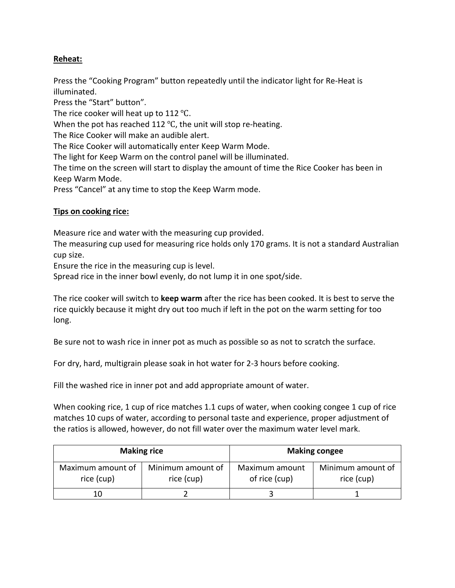# **Reheat:**

Press the "Cooking Program" button repeatedly until the indicator light for Re-Heat is illuminated.

Press the "Start" button".

The rice cooker will heat up to 112  $\degree$ C.

When the pot has reached 112  $\degree$ C, the unit will stop re-heating.

The Rice Cooker will make an audible alert.

The Rice Cooker will automatically enter Keep Warm Mode.

The light for Keep Warm on the control panel will be illuminated.

The time on the screen will start to display the amount of time the Rice Cooker has been in Keep Warm Mode.

Press "Cancel" at any time to stop the Keep Warm mode.

# **Tips on cooking rice:**

Measure rice and water with the measuring cup provided.

The measuring cup used for measuring rice holds only 170 grams. It is not a standard Australian cup size.

Ensure the rice in the measuring cup is level.

Spread rice in the inner bowl evenly, do not lump it in one spot/side.

The rice cooker will switch to **keep warm** after the rice has been cooked. It is best to serve the rice quickly because it might dry out too much if left in the pot on the warm setting for too long.

Be sure not to wash rice in inner pot as much as possible so as not to scratch the surface.

For dry, hard, multigrain please soak in hot water for 2-3 hours before cooking.

Fill the washed rice in inner pot and add appropriate amount of water.

When cooking rice, 1 cup of rice matches 1.1 cups of water, when cooking congee 1 cup of rice matches 10 cups of water, according to personal taste and experience, proper adjustment of the ratios is allowed, however, do not fill water over the maximum water level mark.

|                                 | <b>Making rice</b>              | <b>Making congee</b>            |                                 |  |  |
|---------------------------------|---------------------------------|---------------------------------|---------------------------------|--|--|
| Maximum amount of<br>rice (cup) | Minimum amount of<br>rice (cup) | Maximum amount<br>of rice (cup) | Minimum amount of<br>rice (cup) |  |  |
| 10                              |                                 |                                 |                                 |  |  |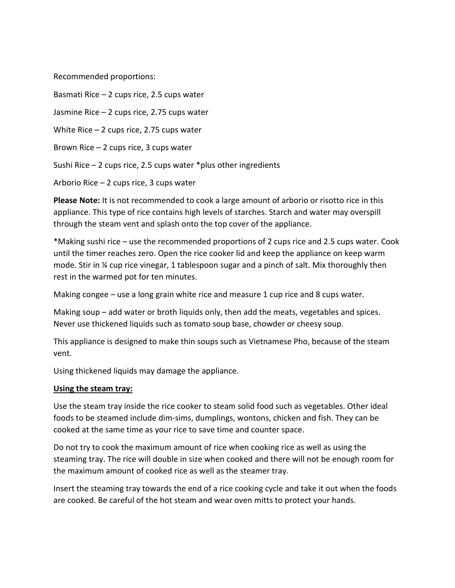Recommended proportions:

Basmati Rice – 2 cups rice, 2.5 cups water

Jasmine Rice – 2 cups rice, 2.75 cups water

White Rice – 2 cups rice, 2.75 cups water

Brown Rice – 2 cups rice, 3 cups water

Sushi Rice  $-2$  cups rice, 2.5 cups water \*plus other ingredients

Arborio Rice – 2 cups rice, 3 cups water

**Please Note:** It is not recommended to cook a large amount of arborio or risotto rice in this appliance. This type of rice contains high levels of starches. Starch and water may overspill through the steam vent and splash onto the top cover of the appliance.

\*Making sushi rice – use the recommended proportions of 2 cups rice and 2.5 cups water. Cook until the timer reaches zero. Open the rice cooker lid and keep the appliance on keep warm mode. Stir in ¼ cup rice vinegar, 1 tablespoon sugar and a pinch of salt. Mix thoroughly then rest in the warmed pot for ten minutes.

Making congee – use a long grain white rice and measure 1 cup rice and 8 cups water.

Making soup – add water or broth liquids only, then add the meats, vegetables and spices. Never use thickened liquids such as tomato soup base, chowder or cheesy soup.

This appliance is designed to make thin soups such as Vietnamese Pho, because of the steam vent.

Using thickened liquids may damage the appliance.

### **Using the steam tray:**

Use the steam tray inside the rice cooker to steam solid food such as vegetables. Other ideal foods to be steamed include dim-sims, dumplings, wontons, chicken and fish. They can be cooked at the same time as your rice to save time and counter space.

Do not try to cook the maximum amount of rice when cooking rice as well as using the steaming tray. The rice will double in size when cooked and there will not be enough room for the maximum amount of cooked rice as well as the steamer tray.

Insert the steaming tray towards the end of a rice cooking cycle and take it out when the foods are cooked. Be careful of the hot steam and wear oven mitts to protect your hands.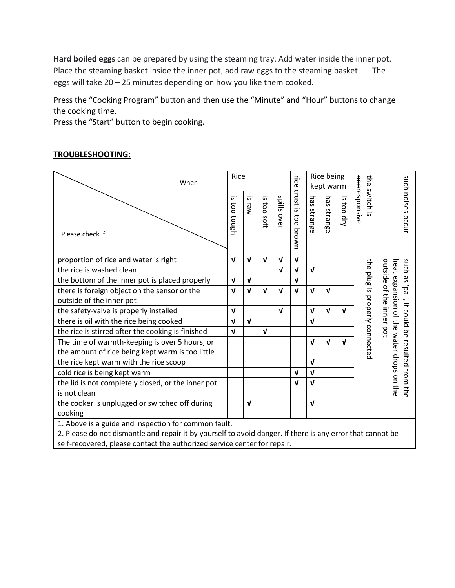**Hard boiled eggs** can be prepared by using the steaming tray. Add water inside the inner pot. Place the steaming basket inside the inner pot, add raw eggs to the steaming basket. The eggs will take 20 – 25 minutes depending on how you like them cooked.

Press the "Cooking Program" button and then use the "Minute" and "Hour" buttons to change the cooking time.

Press the "Start" button to begin cooking.

# **TROUBLESHOOTING:**

| When                                                                                                       | Rice                     |                   |                                    | Lice           | Rice being<br>kept warm |                |                       | the                   |                                            |                                                  |
|------------------------------------------------------------------------------------------------------------|--------------------------|-------------------|------------------------------------|----------------|-------------------------|----------------|-----------------------|-----------------------|--------------------------------------------|--------------------------------------------------|
| Please check if                                                                                            | 5<br><b>coo</b><br>tough | <u>e</u> .<br>Law | <u>c</u><br>$\overline{c}$<br>sott | slills<br>over | crust is<br>too brown   | has<br>strange | has<br><b>strange</b> | <u>e</u> .<br>too dry | <b>ROATESponsive</b><br>switch<br><u>ო</u> | such noises occur                                |
| proportion of rice and water is right                                                                      | $\mathbf{v}$             | $\mathbf v$       | $\mathbf v$                        | V              | $\mathbf v$             |                |                       |                       | the                                        |                                                  |
| the rice is washed clean                                                                                   |                          |                   |                                    | $\mathbf{V}$   | $\mathbf{v}$            | $\mathbf{v}$   |                       |                       |                                            | such                                             |
| the bottom of the inner pot is placed properly                                                             | $\mathbf{v}$             | $\mathbf v$       |                                    |                | $\mathbf{v}$            |                |                       |                       | an <sub>ld</sub>                           | outside of the inner pot<br>heat expansion<br>9S |
| there is foreign object on the sensor or the                                                               |                          | $\mathbf{v}$      | $\mathbf{v}$                       | $\mathbf{v}$   | $\mathbf{v}$            | $\mathbf{v}$   | $\mathbf{v}$          |                       | is properly connected                      | plucon it could                                  |
| outside of the inner pot                                                                                   |                          |                   |                                    |                |                         |                |                       |                       |                                            |                                                  |
| the safety-valve is properly installed                                                                     |                          |                   |                                    | $\mathbf{v}$   |                         | $\mathbf{v}$   | $\mathbf{v}$          | $\mathbf{v}$          |                                            |                                                  |
| there is oil with the rice being cooked                                                                    | $\mathbf{v}$             | $\mathbf{v}$      |                                    |                |                         | $\mathbf{v}$   |                       |                       |                                            | of the water drops on the                        |
| the rice is stirred after the cooking is finished                                                          | $\mathbf{v}$             |                   | $\mathbf{v}$                       |                |                         |                |                       |                       |                                            |                                                  |
| The time of warmth-keeping is over 5 hours, or                                                             |                          |                   |                                    |                |                         | $\mathbf{v}$   | $\mathbf{v}$          | $\mathbf{v}$          |                                            | be resulted from the                             |
| the amount of rice being kept warm is too little                                                           |                          |                   |                                    |                |                         |                |                       |                       |                                            |                                                  |
| the rice kept warm with the rice scoop                                                                     |                          |                   |                                    |                |                         | $\mathbf{v}$   |                       |                       |                                            |                                                  |
| cold rice is being kept warm                                                                               |                          |                   |                                    |                | $\mathbf{v}$            | $\mathbf{v}$   |                       |                       |                                            |                                                  |
| the lid is not completely closed, or the inner pot                                                         |                          |                   |                                    |                | $\mathbf{v}$            | $\mathbf{v}$   |                       |                       |                                            |                                                  |
| is not clean                                                                                               |                          |                   |                                    |                |                         |                |                       |                       |                                            |                                                  |
| the cooker is unplugged or switched off during                                                             |                          | $\mathbf{v}$      |                                    |                |                         | $\mathbf{v}$   |                       |                       |                                            |                                                  |
| cooking                                                                                                    |                          |                   |                                    |                |                         |                |                       |                       |                                            |                                                  |
| 1. Above is a guide and inspection for common fault.                                                       |                          |                   |                                    |                |                         |                |                       |                       |                                            |                                                  |
| 2. Please do not dismantle and repair it by yourself to avoid danger. If there is any error that cannot be |                          |                   |                                    |                |                         |                |                       |                       |                                            |                                                  |
| self-recovered, please contact the authorized service center for repair.                                   |                          |                   |                                    |                |                         |                |                       |                       |                                            |                                                  |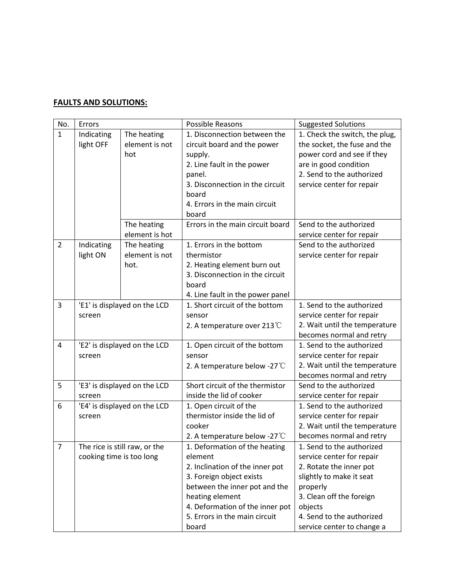# **FAULTS AND SOLUTIONS:**

| No.            | Errors                   |                               | Possible Reasons                        | <b>Suggested Solutions</b>     |  |  |
|----------------|--------------------------|-------------------------------|-----------------------------------------|--------------------------------|--|--|
| $\mathbf{1}$   | Indicating               | The heating                   | 1. Disconnection between the            | 1. Check the switch, the plug, |  |  |
|                | light OFF                | element is not                | circuit board and the power             | the socket, the fuse and the   |  |  |
|                |                          | hot                           | supply.                                 | power cord and see if they     |  |  |
|                |                          |                               | 2. Line fault in the power              | are in good condition          |  |  |
|                |                          |                               | panel.                                  | 2. Send to the authorized      |  |  |
|                |                          |                               | 3. Disconnection in the circuit         | service center for repair      |  |  |
|                |                          |                               | board                                   |                                |  |  |
|                |                          |                               | 4. Errors in the main circuit           |                                |  |  |
|                |                          |                               | board                                   |                                |  |  |
|                |                          | The heating                   | Errors in the main circuit board        | Send to the authorized         |  |  |
|                |                          | element is hot                |                                         | service center for repair      |  |  |
| $\overline{2}$ | Indicating               | The heating                   | 1. Errors in the bottom                 | Send to the authorized         |  |  |
|                | light ON                 | element is not                | thermistor                              | service center for repair      |  |  |
|                |                          | hot.                          | 2. Heating element burn out             |                                |  |  |
|                |                          |                               | 3. Disconnection in the circuit         |                                |  |  |
|                |                          |                               | board                                   |                                |  |  |
|                |                          |                               | 4. Line fault in the power panel        |                                |  |  |
| 3              |                          | 'E1' is displayed on the LCD  | 1. Short circuit of the bottom          | 1. Send to the authorized      |  |  |
|                | screen                   |                               | sensor                                  | service center for repair      |  |  |
|                |                          |                               | 2. A temperature over $213^{\circ}$ C   | 2. Wait until the temperature  |  |  |
|                |                          |                               |                                         | becomes normal and retry       |  |  |
| $\overline{a}$ |                          | 'E2' is displayed on the LCD  | 1. Open circuit of the bottom           | 1. Send to the authorized      |  |  |
|                | screen                   |                               | sensor                                  | service center for repair      |  |  |
|                |                          |                               | 2. A temperature below -27 $\degree$ C  | 2. Wait until the temperature  |  |  |
|                |                          |                               |                                         | becomes normal and retry       |  |  |
| 5              |                          | 'E3' is displayed on the LCD  | Short circuit of the thermistor         | Send to the authorized         |  |  |
|                | screen                   |                               | inside the lid of cooker                | service center for repair      |  |  |
| 6              |                          | 'E4' is displayed on the LCD  | 1. Open circuit of the                  | 1. Send to the authorized      |  |  |
|                | screen                   |                               | thermistor inside the lid of            | service center for repair      |  |  |
|                |                          |                               | cooker                                  | 2. Wait until the temperature  |  |  |
|                |                          |                               | 2. A temperature below -27 $^{\circ}$ C | becomes normal and retry       |  |  |
| $\overline{7}$ |                          | The rice is still raw, or the | 1. Deformation of the heating           | 1. Send to the authorized      |  |  |
|                | cooking time is too long |                               | element                                 | service center for repair      |  |  |
|                |                          |                               | 2. Inclination of the inner pot         | 2. Rotate the inner pot        |  |  |
|                |                          |                               | 3. Foreign object exists                | slightly to make it seat       |  |  |
|                |                          |                               | between the inner pot and the           | properly                       |  |  |
|                |                          |                               | heating element                         | 3. Clean off the foreign       |  |  |
|                |                          |                               | 4. Deformation of the inner pot         | objects                        |  |  |
|                |                          |                               | 5. Errors in the main circuit           | 4. Send to the authorized      |  |  |
|                |                          |                               | board                                   | service center to change a     |  |  |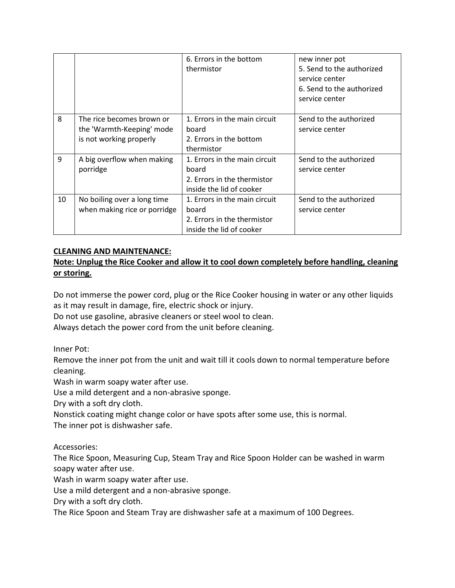|    |                                                                                   | 6. Errors in the bottom<br>thermistor                                                             | new inner pot<br>5. Send to the authorized<br>service center<br>6. Send to the authorized<br>service center |
|----|-----------------------------------------------------------------------------------|---------------------------------------------------------------------------------------------------|-------------------------------------------------------------------------------------------------------------|
| 8  | The rice becomes brown or<br>the 'Warmth-Keeping' mode<br>is not working properly | 1. Errors in the main circuit<br>board<br>2. Errors in the bottom<br>thermistor                   | Send to the authorized<br>service center                                                                    |
| 9  | A big overflow when making<br>porridge                                            | 1. Errors in the main circuit<br>board<br>2. Errors in the thermistor<br>inside the lid of cooker | Send to the authorized<br>service center                                                                    |
| 10 | No boiling over a long time<br>when making rice or porridge                       | 1. Errors in the main circuit<br>board<br>2. Errors in the thermistor<br>inside the lid of cooker | Send to the authorized<br>service center                                                                    |

# **CLEANING AND MAINTENANCE:**

# **Note: Unplug the Rice Cooker and allow it to cool down completely before handling, cleaning or storing.**

Do not immerse the power cord, plug or the Rice Cooker housing in water or any other liquids as it may result in damage, fire, electric shock or injury.

Do not use gasoline, abrasive cleaners or steel wool to clean.

Always detach the power cord from the unit before cleaning.

Inner Pot:

Remove the inner pot from the unit and wait till it cools down to normal temperature before cleaning.

Wash in warm soapy water after use.

Use a mild detergent and a non-abrasive sponge.

Dry with a soft dry cloth.

Nonstick coating might change color or have spots after some use, this is normal.

The inner pot is dishwasher safe.

Accessories:

The Rice Spoon, Measuring Cup, Steam Tray and Rice Spoon Holder can be washed in warm soapy water after use.

Wash in warm soapy water after use.

Use a mild detergent and a non-abrasive sponge.

Dry with a soft dry cloth.

The Rice Spoon and Steam Tray are dishwasher safe at a maximum of 100 Degrees.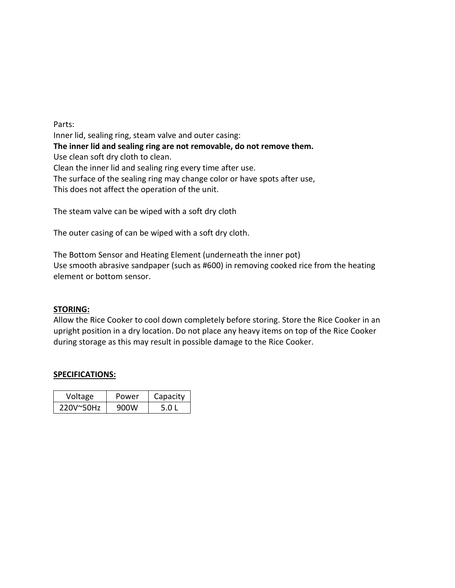Parts: Inner lid, sealing ring, steam valve and outer casing: **The inner lid and sealing ring are not removable, do not remove them.**  Use clean soft dry cloth to clean. Clean the inner lid and sealing ring every time after use. The surface of the sealing ring may change color or have spots after use, This does not affect the operation of the unit.

The steam valve can be wiped with a soft dry cloth

The outer casing of can be wiped with a soft dry cloth.

The Bottom Sensor and Heating Element (underneath the inner pot) Use smooth abrasive sandpaper (such as #600) in removing cooked rice from the heating element or bottom sensor.

### **STORING:**

Allow the Rice Cooker to cool down completely before storing. Store the Rice Cooker in an upright position in a dry location. Do not place any heavy items on top of the Rice Cooker during storage as this may result in possible damage to the Rice Cooker.

#### **SPECIFICATIONS:**

| Voltage             | Power | Capacity |  |  |
|---------------------|-------|----------|--|--|
| $220V^{\circ}50H_2$ | 900W  | 5.O I    |  |  |